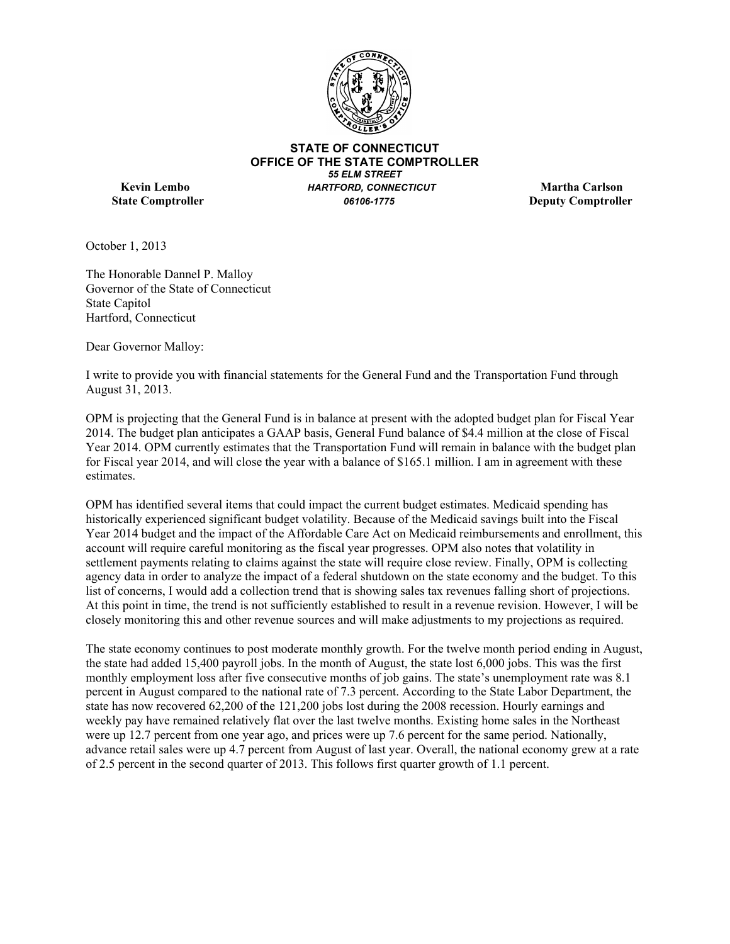

**STATE OF CONNECTICUT OFFICE OF THE STATE COMPTROLLER** *55 ELM STREET* **Kevin Lembo** *HARTFORD, CONNECTICUT* **Martha Carlson State Comptroller**  *06106-1775* **Deputy Comptroller** 

October 1, 2013

The Honorable Dannel P. Malloy Governor of the State of Connecticut State Capitol Hartford, Connecticut

Dear Governor Malloy:

I write to provide you with financial statements for the General Fund and the Transportation Fund through August 31, 2013.

OPM is projecting that the General Fund is in balance at present with the adopted budget plan for Fiscal Year 2014. The budget plan anticipates a GAAP basis, General Fund balance of \$4.4 million at the close of Fiscal Year 2014. OPM currently estimates that the Transportation Fund will remain in balance with the budget plan for Fiscal year 2014, and will close the year with a balance of \$165.1 million. I am in agreement with these estimates.

OPM has identified several items that could impact the current budget estimates. Medicaid spending has historically experienced significant budget volatility. Because of the Medicaid savings built into the Fiscal Year 2014 budget and the impact of the Affordable Care Act on Medicaid reimbursements and enrollment, this account will require careful monitoring as the fiscal year progresses. OPM also notes that volatility in settlement payments relating to claims against the state will require close review. Finally, OPM is collecting agency data in order to analyze the impact of a federal shutdown on the state economy and the budget. To this list of concerns, I would add a collection trend that is showing sales tax revenues falling short of projections. At this point in time, the trend is not sufficiently established to result in a revenue revision. However, I will be closely monitoring this and other revenue sources and will make adjustments to my projections as required.

The state economy continues to post moderate monthly growth. For the twelve month period ending in August, the state had added 15,400 payroll jobs. In the month of August, the state lost 6,000 jobs. This was the first monthly employment loss after five consecutive months of job gains. The state's unemployment rate was 8.1 percent in August compared to the national rate of 7.3 percent. According to the State Labor Department, the state has now recovered 62,200 of the 121,200 jobs lost during the 2008 recession. Hourly earnings and weekly pay have remained relatively flat over the last twelve months. Existing home sales in the Northeast were up 12.7 percent from one year ago, and prices were up 7.6 percent for the same period. Nationally, advance retail sales were up 4.7 percent from August of last year. Overall, the national economy grew at a rate of 2.5 percent in the second quarter of 2013. This follows first quarter growth of 1.1 percent.